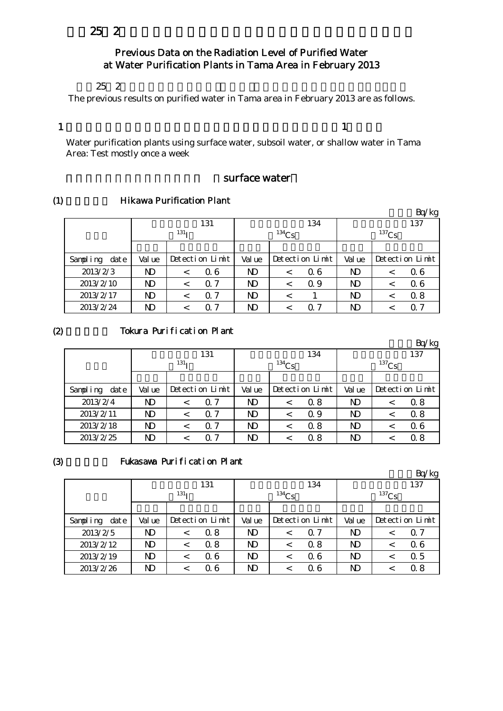## $252$

## Previous Data on the Radiation Level of Purified Water at Water Purification Plants in Tama Area in February 2013

#### $25\,2$

The previous results on purified water in Tama area in February 2013 are as follows.

#### 1

 $\mathbf{1}$  , which is the state  $\mathbf{1}$  , which is the state  $\mathbf{1}$  , which is the state  $\mathbf{1}$ 

Water purification plants using surface water, subsoil water, or shallow water in Tama Area: Test mostly once a week

#### surface water

#### (1) **Hikawa Purification Plant**

|                   |        |                  |                 |        |            |                 |                |          | 'kg             |
|-------------------|--------|------------------|-----------------|--------|------------|-----------------|----------------|----------|-----------------|
|                   |        |                  | 131             |        |            | 134             |                |          | 137             |
|                   |        | 131 <sub>T</sub> |                 |        | $^{134}Cs$ |                 |                | $137$ Cs |                 |
|                   |        |                  |                 |        |            |                 |                |          |                 |
| dat e<br>Sampling | Val ue |                  | Detection Limit | Val ue |            | Detection Limit | Val ue         |          | Detection Limit |
| 2013/2/3          | ND     | $\,<\,$          | 06              | ND     | $\,<\,$    | Q 6             | N <sub>D</sub> |          | Q 6             |
| 2013/2/10         | ND     |                  | $\Omega$ 7      | ND     | $\,<\,$    | Q 9             | N <sub>D</sub> |          | 06              |
| 2013/2/17         | ND     | <                | 07              | ND     | $\,<\,$    |                 | ND             |          | 0.8             |
| 2013/2/24         | ND     |                  | 07              | ND     |            | ი 7             | ND             |          | Q 7             |

#### $(2)$

# Tokura Purification Plant

|                   |        |                  |                 |                |          |                 |                |            | Bq/kg           |
|-------------------|--------|------------------|-----------------|----------------|----------|-----------------|----------------|------------|-----------------|
|                   |        |                  | 131             |                |          | 134             | 137            |            |                 |
|                   |        | 131 <sub>T</sub> |                 |                | $134$ Cs |                 |                | $^{137}Cs$ |                 |
|                   |        |                  |                 |                |          |                 |                |            |                 |
| Sampling<br>dat e | Val ue |                  | Detection Limit | Val ue         |          | Detection Limit | Val ue         |            | Detection Limit |
| 2013/2/4          | ND     |                  | $\Omega$ 7      | ND             | $\,<\,$  | Q 8             | ND             |            | 0.8             |
| 2013/2/11         | ND     |                  | $\Omega$ 7      | N <sub>D</sub> | <        | Q 9             | ND             |            | 0.8             |
| 2013/2/18         | ND     |                  | 7<br>0          | N <sub>D</sub> | $\,<\,$  | 0.8             | N <sub>D</sub> |            | 06              |
| 2013/2/25         | ND     |                  | -7              | ND             |          | 0. 8            | ND             |            | Q 8             |

#### (3)

## Fukasawa Purification Plant

|                  |        |                  |                 |                |            |                 |                |          | Bq/kg           |
|------------------|--------|------------------|-----------------|----------------|------------|-----------------|----------------|----------|-----------------|
|                  |        |                  | 131             |                |            | 134             |                |          | 137             |
|                  |        | 131 <sub>T</sub> |                 |                | $^{134}Cs$ |                 |                | $137$ Cs |                 |
|                  |        |                  |                 |                |            |                 |                |          |                 |
| Sampling<br>date | Val ue |                  | Detection Limit | Val ue         |            | Detection Limit | Val ue         |          | Detection Limit |
| 2013/2/5         | ND     | $\,<\,$          | 0.8             | N)             | $\,<\,$    | $\Omega$ 7      | $\mathbf{D}$   |          | $\Omega$ 7      |
| 2013/2/12        | ND     |                  | 0.8             | N <sub>D</sub> | $\,<\,$    | 0.8             | N <sub>D</sub> |          | 06              |
| 2013/2/19        | ND     |                  | Q 6             | N <sub>D</sub> | $\,<\,$    | Q 6             | ND             |          | 0.5             |
| 2013/2/26        | ND     |                  | 06              | ND             |            | Q 6             | ND             |          | 0.8             |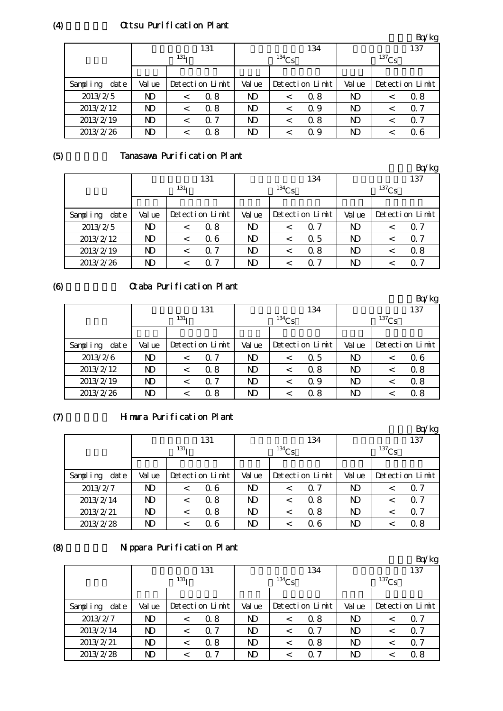# Ottsu Purification Plant

|                   |                |                  |     |                |                 |     |                |          | Bq/kg           |
|-------------------|----------------|------------------|-----|----------------|-----------------|-----|----------------|----------|-----------------|
|                   |                |                  | 131 |                |                 | 134 |                |          | 137             |
|                   |                | 131 <sub>T</sub> |     |                | $134$ Cs        |     |                | $137$ Cs |                 |
|                   |                |                  |     |                |                 |     |                |          |                 |
| Sampling<br>dat e | Val ue         | Detection Limit  |     |                | Detection Limit |     | Val ue         |          | Detection Limit |
| 2013/2/5          | N <sub>D</sub> | $\,<\,$          | 0.8 | N <sub>D</sub> | <               | 0.8 | ND             | <        | 0.8             |
| 2013/2/12         | $\mathbf{D}$   | $\,<\,$          | 0.8 | N <sub>D</sub> | <               | 0.9 | N <sub>D</sub> |          | $\Omega$ 7      |
| 2013/2/19         | N <sub>D</sub> | $\,<\,$          | 0.7 | N <sub>D</sub> | <               | 0.8 | N <sub>D</sub> |          | Q 7             |
| 2013/2/26         | ND             |                  | 0.8 | ND             | <               | Q 9 | ND             |          | Q 6             |

(5)

# Tanasawa Purification Plant

|                   |              |                  |                 |                |          |                 |                |          | Bq/kg           |
|-------------------|--------------|------------------|-----------------|----------------|----------|-----------------|----------------|----------|-----------------|
|                   |              |                  | 131             |                |          | 134             |                |          | 137             |
|                   |              | 131 <sub>T</sub> |                 |                | $134$ Cs |                 |                | $137$ Cs |                 |
|                   |              |                  |                 |                |          |                 |                |          |                 |
| Sampling<br>dat e | Val ue       |                  | Detection Limit | Val ue         |          | Detection Limit | Val ue         |          | Detection Limit |
| 2013/2/5          | ND           | $\,<\,$          | 0.8             | N <sub>D</sub> | <        | 0.7             | ND             | <        | 0.7             |
| 2013/2/12         | ND           | $\,<\,$          | 06              | N <sub>D</sub> | <        | $\Omega$ 5      | N <sub>D</sub> | <        | 0.7             |
| 2013/2/19         | $\mathbf{D}$ | $\,<\,$          | $\Omega$ 7      | N <sub>D</sub> | <        | 0.8             | N)             |          | 0.8             |
| 2013/2/26         | ND           |                  | $\Omega$ 7      | ND             | <        | 0. 7            | N <sub>D</sub> |          | $\Omega$ 7      |

## (6)

# Otaba Purification Plant

|                  |                |                       |                 |                |          |                 |                |          | Bq/kg           |
|------------------|----------------|-----------------------|-----------------|----------------|----------|-----------------|----------------|----------|-----------------|
|                  |                |                       | 131             |                |          | 134             |                |          | 137             |
|                  |                | 131 <sub>T</sub>      |                 |                | $134$ Cs |                 |                | $137$ Cs |                 |
|                  |                |                       |                 |                |          |                 |                |          |                 |
| date<br>Sampling | Val ue         |                       | Detection Limit |                |          | Detection Limit | Val ue         |          | Detection Limit |
| 2013/2/6         | N <sub>D</sub> | <                     | $\Omega$ 7      | ND.            | $\,<\,$  | $\Omega$ 5      | ND             | ≺        | 06              |
| 2013/2/12        | $\mathbf{D}$   | $\,<\,$               | 0.8             | N <sub>D</sub> | $\,<\,$  | 0.8             | ND             | ≺        | 0.8             |
| 2013/2/19        | $\mathbf{D}$   | $\Omega$ 7<br>$\,<\,$ |                 |                | <        | Q 9             | N <sub>D</sub> |          | 0.8             |
| 2013/2/26        | ND<br>0.8      |                       |                 | ND             | <        | 0.8             | ND             |          | 0.8             |

# $(7)$

#### Himura Purification Plant

|                   |        |                  |                 |                |            |                 |                |          | Bq/kg           |
|-------------------|--------|------------------|-----------------|----------------|------------|-----------------|----------------|----------|-----------------|
|                   |        |                  | 131             |                |            | 134             |                |          | 137             |
|                   |        | 131 <sub>T</sub> |                 |                | $^{134}Cs$ |                 |                | $137$ Cs |                 |
|                   |        |                  |                 |                |            |                 |                |          |                 |
| Sampling<br>dat e | Val ue |                  | Detection Limit | Val ue         |            | Detection Limit | Val ue         |          | Detection Limit |
| 2013/2/7          | ND     |                  | Q 6             | ND             | $\,<\,$    | Q 7             | N <sub>D</sub> |          | Q 7             |
| 2013/2/14         | ND     |                  | 0.8             | ND             | $\,<\,$    | 0.8             | N <sub>D</sub> |          | $\Omega$ 7      |
| 2013/2/21         | ND     | $\,<\,$          | 0.8             | N <sub>D</sub> | <          | 0.8             | N <sub>D</sub> |          | $\Omega$ 7      |
| 2013/2/28         | ND     |                  | 06              | N <sub>D</sub> |            | Q 6             | N <sub>D</sub> |          | 0.8             |

# (8)

# Nippara Purification Plant

|                   |        |                  |                 |        |          |                 |                |          | Bq/kg           |
|-------------------|--------|------------------|-----------------|--------|----------|-----------------|----------------|----------|-----------------|
|                   |        |                  | 131             |        |          | 134             |                |          | 137             |
|                   |        | 131 <sub>T</sub> |                 |        | $134$ Cs |                 |                | $137$ Cs |                 |
|                   |        |                  |                 |        |          |                 |                |          |                 |
| Sampling<br>dat e | Val ue |                  | Detection Limit | Val ue |          | Detection Limit | Val ue         |          | Detection Limit |
| 2013/2/7          | ND     | $\,<\,$          | 0.8             | ND.    | $\,<\,$  | 0.8             | N <sub>D</sub> |          | Q 7             |
| 2013/2/14         | ND     | $\,<\,$          | $\Omega$ 7      | ND     | $\,<\,$  | Q 7             | N)             |          | Q 7             |
| 2013/2/21         | ND     |                  | 0.8             | ND     | $\,<\,$  | 0.8             | ND             |          | Q 7             |
| 2013/2/28         | ND     |                  | $\Omega$ 7      | ND     | ≺        | ი 7             | ND             |          | 0.8             |

 $(4)$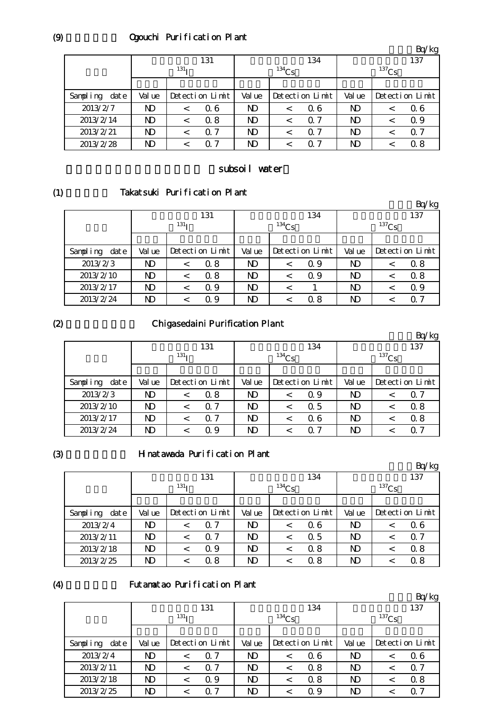# Ogouchi Purification Plant

|                   |              |                  |                 |                |          |                 |                |          | Bq/kg           |
|-------------------|--------------|------------------|-----------------|----------------|----------|-----------------|----------------|----------|-----------------|
|                   |              |                  | 131             |                |          | 134             |                |          | 137             |
|                   |              | 131 <sub>T</sub> |                 |                | $134$ Cs |                 |                | $137$ Cs |                 |
|                   |              |                  |                 |                |          |                 |                |          |                 |
| Sampling<br>dat e | Val ue       |                  | Detection Limit | Val ue         |          | Detection Limit | Val ue         |          | Detection Limit |
| 2013/2/7          | $\mathbf{D}$ | $\,<\,$          | 06              | N)             | $\,<\,$  | 06              | ND             | <        | Q 6             |
| 2013/2/14         | $\mathbf{D}$ | $\,<\,$          | 0.8             | N <sub>D</sub> | $\,<\,$  | $\Omega$ 7      | N <sub>D</sub> | $\,<\,$  | 0.9             |
| 2013/2/21         | ND           | ≺                | Q 7             | N <sub>D</sub> | <        | $\Omega$ 7      | N <sub>D</sub> |          | Q 7             |
| 2013/2/28         | ND           |                  | Q 7             | ND             |          | 0. 7            | ND             |          | 0.8             |

#### subsoil water

(1)

# Takatsuki Purification Plant

|                  |        |                  |                 |                |          |                 |                |          | Bq/kg           |
|------------------|--------|------------------|-----------------|----------------|----------|-----------------|----------------|----------|-----------------|
|                  |        |                  | 131             |                |          | 134             |                |          | 137             |
|                  |        | 131 <sub>T</sub> |                 |                | $134$ Cs |                 |                | $137$ Cs |                 |
|                  |        |                  |                 |                |          |                 |                |          |                 |
| Sampling<br>date | Val ue |                  | Detection Limit | Val ue         |          | Detection Limit | Val ue         |          | Detection Limit |
| 2013/2/3         | ND     |                  | Q 8             | ND             | $\,<\,$  | Q 9             | N <sub>D</sub> |          | 0.8             |
| 2013/2/10        | ND     | $\,<\,$          | 0.8             | ND             | <        | Q 9             | N <sub>D</sub> |          | 0.8             |
| 2013/2/17        | ND     | <                | Q 9             | N <sub>D</sub> | $\,<\,$  |                 | ND             |          | 0.9             |
| 2013/2/24        | ND     |                  | 0.9             | ND             |          | 0.8             | N <sub>D</sub> |          | 0 7             |

 $(2)$ 

# Chigasedaini Purification Plant

|                   |        |                  |                 |                |          |                 |        |          | Bq/kg           |
|-------------------|--------|------------------|-----------------|----------------|----------|-----------------|--------|----------|-----------------|
|                   |        |                  | 131             |                |          | 134             |        |          | 137             |
|                   |        | 131 <sub>T</sub> |                 |                | $134$ Cs |                 |        | $137$ Cs |                 |
|                   |        |                  |                 |                |          |                 |        |          |                 |
| Sampling<br>dat e | Val ue |                  | Detection Limit | Val ue         |          | Detection Limit | Val ue |          | Detection Limit |
| 2013/2/3          | ND     |                  | 0.8             | ND             | <        | Q 9             | ND     |          | Q 7             |
| 2013/2/10         | ND     |                  | $\Omega$ 7      | N <sub>D</sub> | <        | 0.5             | ND     |          | 0.8             |
| 2013/2/17         | ND     |                  | $\Omega$ 7      | N <sub>D</sub> | <        | Q 6             | ND     |          | 0.8             |
| 2013/2/24         | ND     |                  | Q 9             | ND             |          | ი 7             | ND     |          | ი 7             |

(3)

#### Hinatawada Purification Plant

|                   |                |                  |                 |        |          |                 |                |            | Bq/kg           |
|-------------------|----------------|------------------|-----------------|--------|----------|-----------------|----------------|------------|-----------------|
|                   |                |                  | 131             |        |          | 134             |                |            | 137             |
|                   |                | 131 <sub>T</sub> |                 |        | $134$ Cs |                 |                | $^{137}Cs$ |                 |
|                   |                |                  |                 |        |          |                 |                |            |                 |
| Sampling<br>dat e | Val ue         |                  | Detection Limit | Val ue |          | Detection Limit | Val ue         |            | Detection Limit |
| 2013/2/4          | N <sub>D</sub> | $\,<\,$          | $\Omega$ 7      | ND     | $\,<\,$  | Q 6             | N <sub>D</sub> |            | 06              |
| 2013/2/11         | N <sub>D</sub> |                  | $\Omega$ 7      | ND     | $\,<\,$  | Q 5             | N <sub>D</sub> |            | $\Omega$ 7      |
| 2013/2/18         | N <sub>D</sub> | $\,<\,$          | Q 9             | ND     | ≺        | 0.8             | N <sub>D</sub> |            | 0.8             |
| 2013/2/25         | ND             |                  | 0.8             | ND     |          | 0.8             | N <sub>D</sub> |            | 0.8             |

(4)

#### Futamatao Purification Plant

|                   |                  |         |                 |            |         |                 |                |  | Bq/kg           |
|-------------------|------------------|---------|-----------------|------------|---------|-----------------|----------------|--|-----------------|
|                   |                  |         | 131             |            |         | 134             | 137            |  |                 |
|                   | 131 <sub>T</sub> |         |                 | $^{134}Cs$ |         |                 | $^{137}Cs$     |  |                 |
|                   |                  |         |                 |            |         |                 |                |  |                 |
| dat e<br>Sampling | Val ue           |         | Detection Limit | Val ue     |         | Detection Limit | Val ue         |  | Detection Limit |
| 2013/2/4          | N)               | $\,<\,$ | $\Omega$ 7      | ND         | $\,<\,$ | Q 6             | N <sub>D</sub> |  | 06              |
| 2013/2/11         | ND               | $\,<\,$ | $\Omega$ 7      | ND         | $\,<\,$ | 0.8             | N <sub>D</sub> |  | Q 7             |
| 2013/2/18         | ND               | $\,<$   | Q 9             | ND         | <       | 0.8             | N <sub>D</sub> |  | 0.8             |
| 2013/2/25         | ND               | <       | 0. 7            | ND         | <       | Q 9             | ND             |  | Q 7             |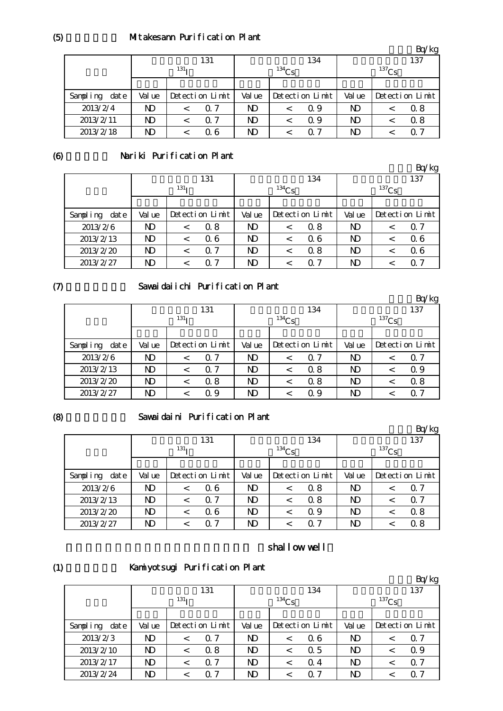#### Mitakesann Purification Plant

|                   |        |                  |                |                 |                | Bq/kg           |  |
|-------------------|--------|------------------|----------------|-----------------|----------------|-----------------|--|
|                   |        | 131              |                | 134             | 137            |                 |  |
|                   |        | 131 <sub>T</sub> |                | $134$ Cs        | $^{137}Cs$     |                 |  |
|                   |        |                  |                |                 |                |                 |  |
| Sampling<br>dat e | Val ue | Detection Limit  | Val ue         | Detection Limit | Val ue         | Detection Limit |  |
| 2013/2/4          | ND     | Q 7              | ND             | Q 9<br><        | N <sub>D</sub> | 0.8             |  |
| 2013/2/11         | ND     | $\Omega$ 7       | N <sub>D</sub> | Q 9<br><        | ND             | 0.8             |  |
| 2013/2/18         | ND     | Q 6              | N <sub>D</sub> | O 7             | ND             | O 7             |  |

(6)

## Nariki Purification Plant

|                   |                  |  |                 |          |                 |      |                |  | Bq/kg           |
|-------------------|------------------|--|-----------------|----------|-----------------|------|----------------|--|-----------------|
|                   |                  |  | 131             |          |                 | 134  |                |  | 137             |
|                   | 131 <sub>T</sub> |  |                 | $134$ Cs |                 |      | $137$ Cs       |  |                 |
|                   |                  |  |                 |          |                 |      |                |  |                 |
| Sampling<br>dat e | Val ue           |  | Detection Limit |          | Detection Limit |      | Val ue         |  | Detection Limit |
| 2013/2/6          | ND               |  | Q 8             | ND       | $\,<\,$         | 0.8  | N <sub>D</sub> |  | Q 7             |
| 2013/2/13         | ND               |  | 06              | ND       | $\,<\,$         | Q 6  | N <sub>D</sub> |  | 06              |
| 2013/2/20         | ND               |  | -7<br>0         | ND       | <               | 0.8  | N <sub>D</sub> |  | 06              |
| 2013/2/27         | ND               |  | Q 7             | ND       | <               | 0. 7 | ND             |  | Q 7             |

## $(7)$

# Sawaidaiichi Purification Plant

|                   |                  |         |                 |                |                 |            |                |   | Bq/kg           |
|-------------------|------------------|---------|-----------------|----------------|-----------------|------------|----------------|---|-----------------|
|                   |                  |         | 131             |                |                 | 134        |                |   | 137             |
|                   | 131 <sub>T</sub> |         |                 | $134$ Cs       |                 |            | $137$ Cs       |   |                 |
|                   |                  |         |                 |                |                 |            |                |   |                 |
| dat e<br>Sampling | Val ue           |         | Detection Limit |                | Detection Limit |            | Val ue         |   | Detection Limit |
| 2013/2/6          | ND               |         | $\Omega$ 7      | ND             | <               | $\Omega$ 7 | ND             | < | $\Omega$ 7      |
| 2013/2/13         | ND               | $\,<\,$ | $\Omega$ 7      | ND             | <               | 0.8        | ND             | < | Q 9             |
| 2013/2/20         | ND               | $\,<\,$ | 0.8             | N <sub>D</sub> | <               | 0.8        | N <sub>D</sub> |   | 0.8             |
| 2013/2/27         | ND               |         | Q 9             | ND             | <               | 0.9        | N <sub>D</sub> |   | 0.7             |

## (8)

## Sawaidaini Purification Plant

|                   |                  |         |                 |          |         |                 |                |     | Bq/kg           |  |
|-------------------|------------------|---------|-----------------|----------|---------|-----------------|----------------|-----|-----------------|--|
|                   | 131              |         |                 |          |         | 134             |                | 137 |                 |  |
|                   | 131 <sub>T</sub> |         |                 | $134$ Cs |         |                 | $137$ Cs       |     |                 |  |
|                   |                  |         |                 |          |         |                 |                |     |                 |  |
| dat e<br>Sampling | Val ue           |         | Detection Limit | Val ue   |         | Detection Limit | Val ue         |     | Detection Limit |  |
| 2013/2/6          | ND               |         | Q 6             | ND       | $\,<\,$ | 0.8             | N <sub>D</sub> |     | $\Omega$ 7      |  |
| 2013/2/13         | N <sub>D</sub>   |         | 0.7             | ND       | $\,<\,$ | 0.8             | N <sub>D</sub> |     | $\Omega$ 7      |  |
| 2013/2/20         | N <sub>D</sub>   | $\,<\,$ | 06              | ND       | $\,<\,$ | Q 9             | N <sub>D</sub> |     | 0.8             |  |
| 2013/2/27         | ND               |         | 0.7             | ND.      |         | 0. 7            | N <sub>D</sub> |     | 0.8             |  |

#### shallow well

(1)

Kamiyotsugi Purification Plant

|                   |                  |         |                 |                |         |                 |                |  | Bq/kg           |
|-------------------|------------------|---------|-----------------|----------------|---------|-----------------|----------------|--|-----------------|
|                   |                  |         | 131             |                |         | 134             | 137            |  |                 |
|                   | 131 <sub>T</sub> |         |                 | $^{134}Cs$     |         |                 | $137$ Cs       |  |                 |
|                   |                  |         |                 |                |         |                 |                |  |                 |
| Sampling<br>dat e | Val ue           |         | Detection Limit | Val ue         |         | Detection Limit | Val ue         |  | Detection Limit |
| 2013/2/3          | ND               |         | $\Omega$ 7      | N <sub>D</sub> | $\,<\,$ | Q 6             | ND             |  | Q 7             |
| 2013/2/10         | ND               | $\,<\,$ | 0.8             | N <sub>D</sub> | $\,<\,$ | 0.5             | N <sub>D</sub> |  | 0.9             |
| 2013/2/17         | ND               | $\,<\,$ | $\Omega$ 7      | N <sub>D</sub> | $\,<\,$ | $\Omega$ 4      | ND             |  | $\alpha$ 7      |
| 2013/2/24         | ND               |         | 0. 7            | ND             | <       | O 7             | ND             |  | Q 7             |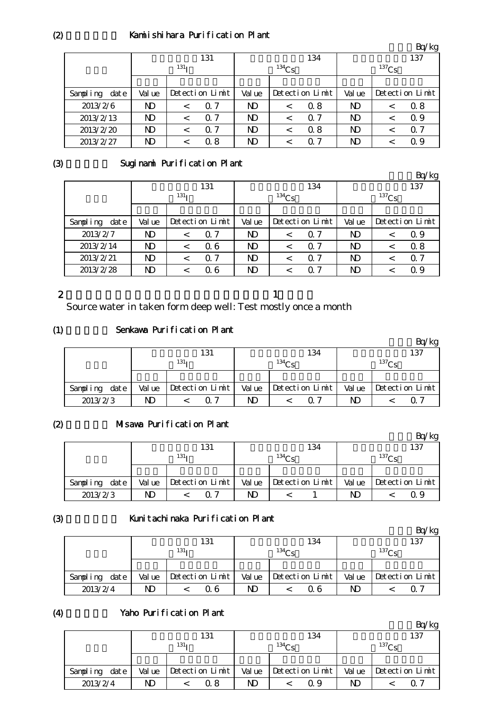## Kamiishihara Purification Plant

|                   |                  |                 |            |                |                 |            |                |  | Bq/kg           |
|-------------------|------------------|-----------------|------------|----------------|-----------------|------------|----------------|--|-----------------|
|                   | 131              |                 |            | 134            |                 |            |                |  | 137             |
|                   | 131 <sub>T</sub> |                 |            | $134$ Cs       |                 |            | $137$ Cs       |  |                 |
|                   |                  |                 |            |                |                 |            |                |  |                 |
| Sampling<br>dat e | Val ue           | Detection Limit |            | Val ue         | Detection Limit |            | Val ue         |  | Detection Limit |
| 2013/2/6          | ND               |                 | Q 7        | N <sub>D</sub> | $\,<\,$         | 0.8        | N <sub>D</sub> |  | 0.8             |
| 2013/2/13         | ND               |                 | 0.7        | ND             | $\,<\,$         | $\Omega$ 7 | N <sub>D</sub> |  | Q 9             |
| 2013/2/20         | ND               | $\,<\,$         | $\Omega$ 7 | N <sub>D</sub> | $\,<\,$         | 0.8        | $\mathbf{D}$   |  | $\Omega$ 7      |
| 2013/2/27         | ND               |                 | 0.8        | N <sub>D</sub> |                 | 0.7        | N <sub>D</sub> |  | 0.9             |

#### (3)

# Suginami Purification Plant

|                  |                  |         |                 |              |         |                 |              |  | Bq/kg           |
|------------------|------------------|---------|-----------------|--------------|---------|-----------------|--------------|--|-----------------|
|                  |                  |         | 131             |              |         | 134             | 137          |  |                 |
|                  | 131 <sub>T</sub> |         |                 | $134$ Cs     |         |                 | $137$ Cs     |  |                 |
|                  |                  |         |                 |              |         |                 |              |  |                 |
| Sampling<br>date | Val ue           |         | Detection Limit | Val ue       |         | Detection Limit | Val ue       |  | Detection Limit |
| 2013/2/7         | ND               | $\,<\,$ | $\Omega$ 7      | ND           | <       | $\Omega$ 7      | ND           |  | Q 9             |
| 2013/2/14        | ND               | $\,<\,$ | 06              | ND           | $\,<\,$ | $\Omega$ 7      | ND           |  | 0.8             |
| 2013/2/21        | ND               | $\,<\,$ | 0.7             | $\mathbf{D}$ | $\,<\,$ | $\Omega$ 7      | $\mathbf{D}$ |  | $\Omega$ 7      |
| 2013/2/28        | ND               | <       | 06              | ND           | <       | 0 7             | ND           |  | 0.9             |

# 2

Source water in taken form deep well: Test mostly once a month

 $\mathbf 1$ 

#### (1) Senkawa Purification Plant

|          |      |                  |  |                 |             |  |                 |                   |  | kg              |
|----------|------|------------------|--|-----------------|-------------|--|-----------------|-------------------|--|-----------------|
|          |      |                  |  | 131             |             |  | 134             |                   |  | 137             |
|          |      | 131 <sub>T</sub> |  |                 | $134\sigma$ |  |                 | 137C <sub>c</sub> |  |                 |
|          |      |                  |  |                 |             |  |                 |                   |  |                 |
| Sampling | date | Val ue           |  | Detection Limit | Val ue      |  | Detection Limit | Val ue            |  | Detection Limit |
| 2013/2/3 |      | ND               |  | 07              | ND          |  |                 | ND                |  | ( ) ·           |

#### $(2)$ Misawa Purification Plant

|                  |                  |  |                 |             |  |                 |            |  | kg              |
|------------------|------------------|--|-----------------|-------------|--|-----------------|------------|--|-----------------|
|                  |                  |  | 131             |             |  | 134             |            |  | 137             |
|                  | 131 <sub>T</sub> |  |                 | $134\Omega$ |  |                 | $^{137}Cs$ |  |                 |
|                  |                  |  |                 |             |  |                 |            |  |                 |
| Sampling<br>date | Val ue           |  | Detection Limit | Val ue      |  | Detection Limit | Val ue     |  | Detection Limit |
| 2013/2/3         |                  |  | ი 7             | ND          |  |                 | ND         |  | Q 9             |

#### (3)

## Kunitachinaka Purification Plant

|               |        |                  |        |                 |                   | Bq/kg           |  |
|---------------|--------|------------------|--------|-----------------|-------------------|-----------------|--|
|               |        | 131              |        | 134             |                   | 137             |  |
|               |        | 131 <sub>T</sub> |        | $^{134}$ Cs     | 137C <sub>c</sub> |                 |  |
|               |        |                  |        |                 |                   |                 |  |
| Sampling date | Val ue | Detection Limit  | Val ue | Detection Limit | Val ue            | Detection Limit |  |
| 2013/2/4      | N)     | 0 6              | ND     | Q 6             | ND                | $\Omega$ $\sim$ |  |

## (4)

## Yaho Purification Plant

|               |        |                  |        |                 |            | Bq/kg           |  |
|---------------|--------|------------------|--------|-----------------|------------|-----------------|--|
|               |        | 131              |        | 134             |            | 137             |  |
|               |        | 131 <sub>T</sub> |        | $^{134}$ Ce     | $^{137}Cs$ |                 |  |
|               |        |                  |        |                 |            |                 |  |
| Sampling date | Val ue | Detection Limit  | Val ue | Detection Limit | Val ue     | Detection Limit |  |
| 2013/2/4      | ND.    | 0 8              | ND     | Q 9             | ND         | O 7             |  |

 $(2)$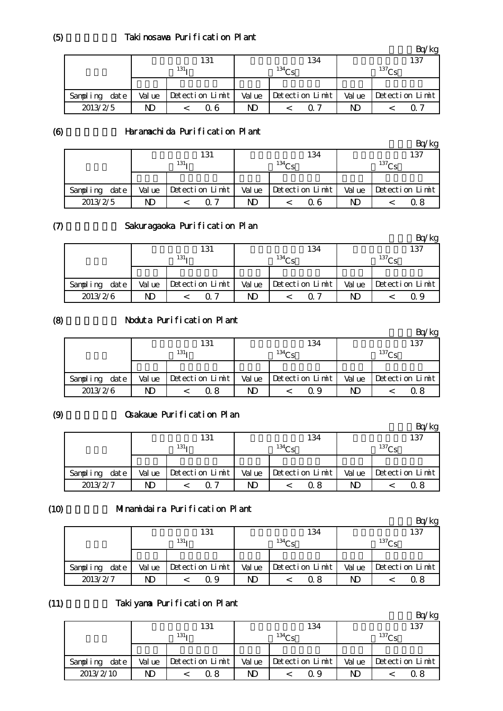|                  |        |                  |        |                 |        | Bq/kg           |  |  |
|------------------|--------|------------------|--------|-----------------|--------|-----------------|--|--|
|                  |        | 131              |        | 134             | 137    |                 |  |  |
|                  |        | 131 <sub>T</sub> |        | $^{134}$ Ce     |        | $^{137}$ Cs     |  |  |
|                  |        |                  |        |                 |        |                 |  |  |
| date<br>Sampling | Val ue | Detection Limit  | Val ue | Detection Limit | Val ue | Detection Limit |  |  |
| 2013/2/5         | ND     | Q 6              | ND     | $\Omega$ 7      | ND     | O 1             |  |  |

(6)

# Haramachida Purification Plant

|          |      |        |                  | 131             |        |             | 134             |        | 137               |                 |  |
|----------|------|--------|------------------|-----------------|--------|-------------|-----------------|--------|-------------------|-----------------|--|
|          |      |        | 131 <sub>T</sub> |                 |        | $^{134}$ Cs |                 |        | 137C <sub>c</sub> |                 |  |
|          |      |        |                  |                 |        |             |                 |        |                   |                 |  |
| Sampling | date | Val ue |                  | Detection Limit | Val ue |             | Detection Limit | Val ue |                   | Detection Limit |  |
| 2013/2/5 |      | ND     |                  | ∩ 7             | ND     |             | 0 6             | ND     |                   | 0 8             |  |

#### $(7)$

# Sakuragaoka Purification Plan

|               |        |                  |        |                 |        | Bq/kg           |  |  |
|---------------|--------|------------------|--------|-----------------|--------|-----------------|--|--|
|               |        | 131              |        | 134             | 137    |                 |  |  |
|               |        | 131 <sub>T</sub> |        | $^{134}$ Cs     |        | $^{137}$ Cs     |  |  |
|               |        |                  |        |                 |        |                 |  |  |
| Sampling date | Val ue | Detection Limit  | Val ue | Detection Limit | Val ue | Detection Limit |  |  |
| 2013/2/6      | ND     | <u>በ 7</u>       | ND     | 0. 7            | ND     | 0.9             |  |  |

# (8)

# Noduta Purification Plant

|          |      |        | 131<br>134       |                      |        |                   |                 |        | 137               |                 |  |
|----------|------|--------|------------------|----------------------|--------|-------------------|-----------------|--------|-------------------|-----------------|--|
|          |      |        | 131 <sub>T</sub> |                      |        | 134C <sub>c</sub> |                 |        | 137C <sub>c</sub> |                 |  |
|          |      |        |                  |                      |        |                   |                 |        |                   |                 |  |
| Sampling | date | Val ue |                  | $Detecti$ on $Limit$ | Val ue |                   | Detection Limit | Val ue |                   | Detection Limit |  |
| 2013/2/6 |      | ND     |                  | 0. 8                 | ND     |                   | Q 9             | ND     |                   | Ω8              |  |

## (9)

# Osakaue Purification Plan

|                   |        |                  |        |                   |        | Ίkg             |  |  |
|-------------------|--------|------------------|--------|-------------------|--------|-----------------|--|--|
|                   |        | 131              |        | 134               | 137    |                 |  |  |
|                   |        | 131 <sub>T</sub> |        | 134C <sub>c</sub> |        | $^{137}Cs$      |  |  |
|                   |        |                  |        |                   |        |                 |  |  |
| dat e<br>Sampling | Val ue | Detection Limit  | Val ue | Detection Limit   | Val ue | Detection Limit |  |  |
| 2013/2/7          | ND     |                  | ND     | 0 8               | ND     | 0 8             |  |  |

## $(10)$

## Minamidaira Purification Plant

|               |        |                  |    |                         |        | 'kg               |  |  |
|---------------|--------|------------------|----|-------------------------|--------|-------------------|--|--|
|               |        | 131              |    | 134                     |        | 137               |  |  |
|               |        | 131 <sub>T</sub> |    | $^{134}$ Cs             |        | 137C <sub>c</sub> |  |  |
|               |        |                  |    |                         |        |                   |  |  |
| Sampling date | Val ue | Detection Limit  |    | $Value$ Detection Limit | Val ue | Detection Limit   |  |  |
| 2013/2/7      | ND     | Q 9              | ND | 0.8                     | ND     |                   |  |  |

#### (11) Takiyama Purification Plant

|               |        |                  |        |                   |       | 'kg               |  |  |
|---------------|--------|------------------|--------|-------------------|-------|-------------------|--|--|
|               |        | 131              |        | 134               |       | 137               |  |  |
|               |        | 131 <sub>T</sub> |        | 134C <sub>c</sub> |       | 137C <sub>c</sub> |  |  |
|               |        |                  |        |                   |       |                   |  |  |
| Sampling date | Val ue | Detection Limit  | Val ue | Detection Limit   | Value | Detection Limit   |  |  |
| 2013/2/10     | ND     | 0 8              | ND     | Q 9               | ND    | Ω8                |  |  |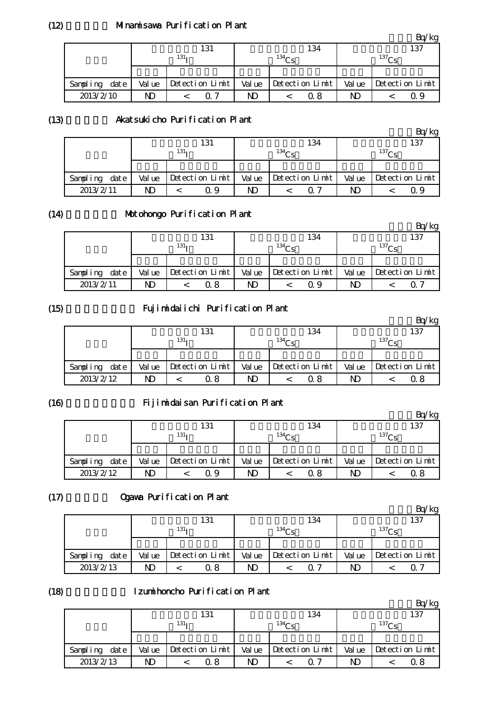## Minamisawa Purification Plant

|               |        |                  |        |                 |             | Bq/kg                 |  |
|---------------|--------|------------------|--------|-----------------|-------------|-----------------------|--|
|               |        | 131              |        | 134             |             | 137                   |  |
|               |        | 131 <sub>T</sub> |        | $^{134}$ Ce     | $^{137}$ Cs |                       |  |
|               |        |                  |        |                 |             |                       |  |
| Sampling date | Val ue | Detection Limit  | Val ue | Detection Limit |             | Value Detection Limit |  |
| 2013/2/10     | ND     | 0. 7             | ND     | 0. 8            | ND          | 0. Y                  |  |

#### (13)

## Akatsukicho Purification Plant

|           |      |        |                  |                 |        |                   |                 |    |             | Bq/kg                  |  |
|-----------|------|--------|------------------|-----------------|--------|-------------------|-----------------|----|-------------|------------------------|--|
|           |      |        | 134<br>131       |                 |        |                   |                 |    | 137         |                        |  |
|           |      |        | 131 <sub>T</sub> |                 |        | 134C <sub>c</sub> |                 |    | $^{137}$ Cs |                        |  |
|           |      |        |                  |                 |        |                   |                 |    |             |                        |  |
| Sampling  | date | Val ue |                  | Detection Limit | Val ue |                   | Detection Limit |    |             | Value Detection $\lim$ |  |
| 2013/2/11 |      | ND     |                  | Q 9             | ND     |                   | ი 7             | ND |             | O 9                    |  |

## (14)

# Motohongo Purification Plant

|               |        |                 |        |                 |          | $\lnot$ kg      |  |
|---------------|--------|-----------------|--------|-----------------|----------|-----------------|--|
|               |        | 131             |        | 134             | 137      |                 |  |
|               |        | $131_1$         |        | $134$ $Cc$      | $137C_S$ |                 |  |
|               |        |                 |        |                 |          |                 |  |
| Sampling date | Val ue | Detection Limit | Val ue | Detection Limit | Val ue   | Detection Limit |  |
| 2013/2/11     | ND     | 0 8             | ND     | Q 9             | ND       |                 |  |

#### (15)

#### Fujimidaiichi Purification Plant

|               |        |                  | 131                     |        |             | 134             | 137   |                   |                 |  |
|---------------|--------|------------------|-------------------------|--------|-------------|-----------------|-------|-------------------|-----------------|--|
|               |        | 131 <sub>T</sub> |                         |        | $134\sigma$ |                 |       | 137C <sub>c</sub> |                 |  |
|               |        |                  |                         |        |             |                 |       |                   |                 |  |
| Sampling date | Val ue |                  | $\vert$ Detection Limit | Val ue |             | Detection Limit | Value |                   | Detection Limit |  |
| 2013/2/12     | ND     |                  | Q 8                     | ND     |             | 0.8             | ND    |                   |                 |  |

#### (16)

#### Fijimidaisan Purification Plant

|               |        |                  |                 |        |          |                 |        |             | Bq⁄kg           |  |
|---------------|--------|------------------|-----------------|--------|----------|-----------------|--------|-------------|-----------------|--|
|               |        | 131<br>134       |                 |        |          |                 |        | 137         |                 |  |
|               |        | 131 <sub>T</sub> |                 |        | $134C_c$ |                 |        | $^{137}$ Cs |                 |  |
|               |        |                  |                 |        |          |                 |        |             |                 |  |
| Sampling date | Val ue |                  | Detection Limit | Val ue |          | Detection Limit | Val ue |             | Detection Limit |  |
| 2013/2/12     | ND     |                  | Q 9             | ND     |          | 0.8             | ND     |             |                 |  |

# $(17)$

# Ogawa Purification Plant

|                   |        |                  |        |                 |        | Bq/kg           |
|-------------------|--------|------------------|--------|-----------------|--------|-----------------|
|                   |        | 131              |        | 134             |        | 137             |
|                   |        | 131 <sub>T</sub> |        | $^{134}$ Ce     |        | $^{137}$ Ce     |
|                   |        |                  |        |                 |        |                 |
| dat e<br>Sampling | Val ue | Detection Limit  | Val ue | Detection Limit | Val ue | Detection Limit |
| 2013/2/13         | ND     | ີ 8              | ND.    | ∩ 7             | ND     |                 |

#### (18) Izumihoncho Purification Plant

|               |        |                  |        |                 |        | ′kg             |
|---------------|--------|------------------|--------|-----------------|--------|-----------------|
|               |        | 131              |        | 134             |        | 137             |
|               |        | 131 <sub>T</sub> |        | $^{134}$ Cc     |        | $^{137}$ Cs     |
|               |        |                  |        |                 |        |                 |
| Sampling date | Val ue | Detection Limit  | Val ue | Detection Limit | Val ue | Detection Limit |
| 2013/2/13     | ND     | Q 8              | ND     | ი 7             | ND     | Ω8              |

 $(12)$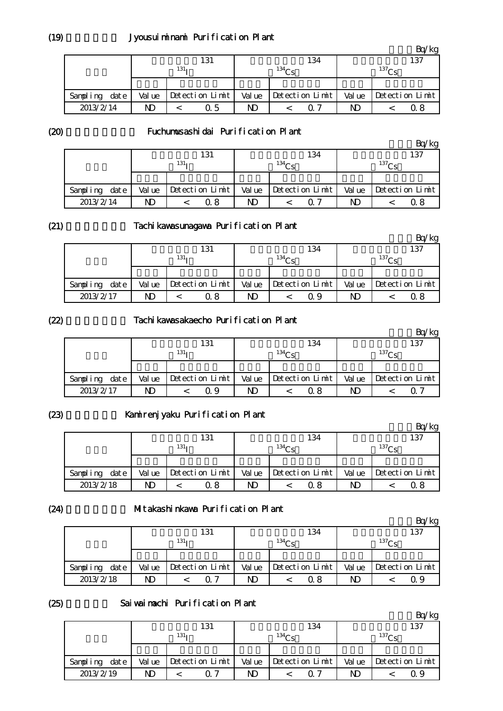|               |        |                  |        |                   |        | $k$ g             |
|---------------|--------|------------------|--------|-------------------|--------|-------------------|
|               |        | 131              |        | 134               |        | 137               |
|               |        | 131 <sub>T</sub> |        | 134C <sub>c</sub> |        | 137C <sub>c</sub> |
|               |        |                  |        |                   |        |                   |
| Sampling date | Val ue | Detection Limit  | Val ue | Detection Limit   | Val ue | Detection Limit   |
| 2013/2/14     | ND     | 0.5              | ND     | 0. 7              | ND     | 0.8               |

(20)

## Fuchumusashidai Purification Plant

|                   |        |                  |        |                 |        | Bq/kg           |
|-------------------|--------|------------------|--------|-----------------|--------|-----------------|
|                   |        | 131              |        | 134             |        | 137             |
|                   |        | 131 <sub>T</sub> |        | $^{134}$ Cs     |        | $^{137}$ Ce     |
|                   |        |                  |        |                 |        |                 |
| dat e<br>Sampling | Val ue | Detection Limit  | Val ue | Detection Limit | Val ue | Detection Limit |
| 2013/2/14         | ND     | 0. 8             | ND     | ი 7             | ND     | 0 8             |

#### (21)

### Tachikawasunagawa Purification Plant

|               |        |                  |        |                   |        | 'kg               |
|---------------|--------|------------------|--------|-------------------|--------|-------------------|
|               |        | 131              |        | 134               |        | 137               |
|               |        | 131 <sub>T</sub> |        | 134C <sub>c</sub> |        | 137C <sub>c</sub> |
|               |        |                  |        |                   |        |                   |
| Sampling date | Val ue | Detection Limit  | Val ue | Detection Limit   | Val ue | Detection Limit   |
| 2013/2/17     | ND     | Q 8              | ND     | Q 9               | ND     | 0 8               |

#### (22)

### Tachikawasakaecho Purification Plant

|                   |        | 131              |        | 134             |       | 137               |
|-------------------|--------|------------------|--------|-----------------|-------|-------------------|
|                   |        | 131 <sub>T</sub> |        | $134\Omega$     |       | 137C <sub>c</sub> |
|                   |        |                  |        |                 |       |                   |
| dat e<br>Sampling | Val ue | Detection Limit  | Val ue | Detection Limit | Value | Detection Limit   |
| 2013/2/17         | ND     | Ω9               | ND     | 0.8             | ND    |                   |

# (23)

# Kamirenjyaku Purification Plant

|                  |        | 131              |        | 134               |        | 137             |
|------------------|--------|------------------|--------|-------------------|--------|-----------------|
|                  |        | 131 <sub>T</sub> |        | 134C <sub>c</sub> |        | $^{137}$ Cs     |
|                  |        |                  |        |                   |        |                 |
| date<br>Sampling | Val ue | Detection Limit  | Val ue | Detection Limit   | Val ue | Detection Limit |
| 2013/2/18        | ND     | 0. 8             | N)     | 0 8               | ND     | 0 8             |

#### (24)

#### Mitakashinkawa Purification Plant

|               |        |                  |        |                   |        | Bq/kg             |
|---------------|--------|------------------|--------|-------------------|--------|-------------------|
|               |        | 131              |        | 134               |        | 137               |
|               |        | 131 <sub>T</sub> |        | 134C <sub>c</sub> |        | 137C <sub>c</sub> |
|               |        |                  |        |                   |        |                   |
| Sampling date | Val ue | Detection Limit  | Val ue | Detection Limit   | Val ue | Detection Limit   |
| 2013/2/18     | ND     | ∩ 7              | ND     | ი  გ              | ND     | 09                |

#### (25)

#### Sai wai nachi Purification Plant

|                   |        |                  |        |                   |        | kg                |
|-------------------|--------|------------------|--------|-------------------|--------|-------------------|
|                   |        | 131              |        | 134               |        | 137               |
|                   |        | 131 <sub>T</sub> |        | 134C <sub>c</sub> |        | 137C <sub>c</sub> |
|                   |        |                  |        |                   |        |                   |
| dat e<br>Sampling | Val ue | Detection Limit  | Val ue | Detection Limit   | Val ue | Detection Limit   |
| 2013/2/19         | ND     | ∩ 7              | ND     | <u>በ 7</u>        | ND     | Ω9                |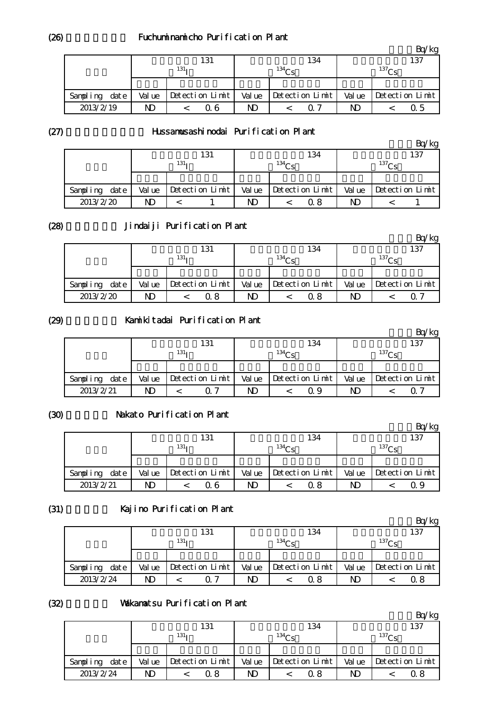### Fuchuminamicho Purification Plant

|                  |        |                  |        |                   |        | Bq/kg             |
|------------------|--------|------------------|--------|-------------------|--------|-------------------|
|                  |        | 131              |        | 134               |        | 137               |
|                  |        | 131 <sub>T</sub> |        | 134C <sub>c</sub> |        | 137C <sub>c</sub> |
|                  |        |                  |        |                   |        |                   |
| date<br>Sampling | Val ue | Detection Limit  | Val ue | Detection Limit   | Val ue | Detection Limit   |
| 2013/2/19        | ND     | 0 6              | ND     | ი 7               | ND     | 0.5               |

(27)

#### Hussamusashinodai Purification Plant

|                  |        |                  |        |                 |        | Bq/kg           |
|------------------|--------|------------------|--------|-----------------|--------|-----------------|
|                  |        | 131              |        | 134             |        | 137             |
|                  |        | 131 <sub>T</sub> |        | $^{134}$ Cs     |        | $^{137}$ Ce     |
|                  |        |                  |        |                 |        |                 |
| date<br>Sampling | Val ue | Detection Limit  | Val ue | Detection Limit | Val ue | Detection Limit |
| 2013/2/20        | ND     |                  | ND     | 0 8             | ND     |                 |

#### (28)

# Jindaiji Purification Plant

|               |        |                  |        |                 |        | 'kg             |
|---------------|--------|------------------|--------|-----------------|--------|-----------------|
|               |        | 131              |        | 134             |        | 137             |
|               |        | 131 <sub>1</sub> |        | $^{134}$ Ce     |        | $^{137}$ Cs     |
|               |        |                  |        |                 |        |                 |
| Sampling date | Val ue | Detection Limit  | Val ue | Detection Limit | Val ue | Detection Limit |
| 2013/2/20     | ND     | Q 8              | ND     | 0. 8            | ND     |                 |

#### (29)

#### Kamikitadai Purification Plant

|           |      |                  |  | 131               |        |  | 134               |       |  | 137             |
|-----------|------|------------------|--|-------------------|--------|--|-------------------|-------|--|-----------------|
|           |      | 131 <sub>T</sub> |  | 134C <sub>c</sub> |        |  | 137C <sub>c</sub> |       |  |                 |
|           |      |                  |  |                   |        |  |                   |       |  |                 |
| Sampling  | date | Val ue           |  | Detection Limit   | Val ue |  | Detection Limit   | Value |  | Detection Limit |
| 2013/2/21 |      | ND               |  | <u>n</u> 7        | ND     |  | Q 9               | ND    |  |                 |

## (30)

## Nakato Purification Plant

|               |        |                  |        |                 |        | 'kg               |
|---------------|--------|------------------|--------|-----------------|--------|-------------------|
|               |        | 131              |        | 134             |        | 137               |
|               |        | 131 <sub>T</sub> |        | $^{134}$ Cs     |        | 137C <sub>c</sub> |
|               |        |                  |        |                 |        |                   |
| Sampling date | Val ue | Detection Limit  | Val ue | Detection Limit | Val ue | Detection Limit   |
| 2013/2/21     | ND     | 0 6              | ND     | 0. 8            | ND     | Q 9               |

## (31)

# Kajino Purification Plant

|                  |        |                  |        |                   |             | 'kg             |  |
|------------------|--------|------------------|--------|-------------------|-------------|-----------------|--|
|                  |        | 131              |        | 134               |             | 137             |  |
|                  |        | 131 <sub>T</sub> |        | 134C <sub>c</sub> | $^{137}$ Cs |                 |  |
|                  |        |                  |        |                   |             |                 |  |
| Sampling<br>date | Val ue | Detection Limit  | Val ue | Detection Limit   | Val ue      | Detection Limit |  |
| 2013/2/24        | ND     | ገግ               | ND     | ი  გ              | ND          | 0.8             |  |

## (32)

#### Wakamatsu Purification Plant

|               |        |                  |        |                   |        | $k$ g             |
|---------------|--------|------------------|--------|-------------------|--------|-------------------|
|               |        | 131              |        | 134               |        | 137               |
|               |        | 131 <sub>T</sub> |        | 134C <sub>c</sub> |        | 137C <sub>c</sub> |
|               |        |                  |        |                   |        |                   |
| Sampling date | Val ue | Detection Limit  | Val ue | Detection Limit   | Val ue | Detection Limit   |
| 2013/2/24     | ND     | Q 8              | ND     | 0.8               | ND     | 0. 8              |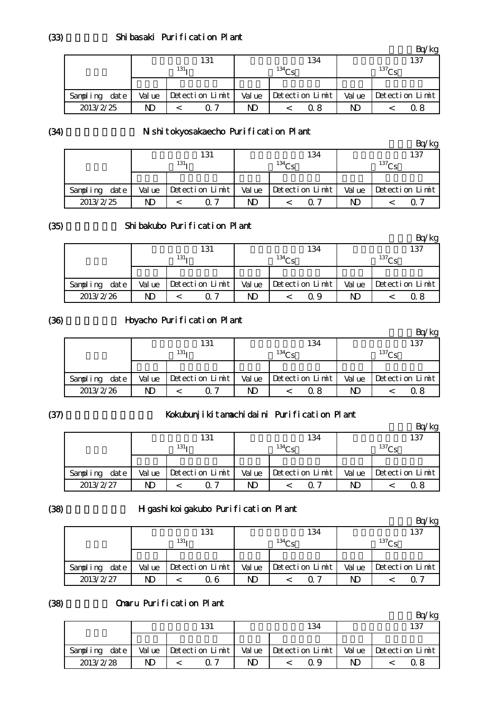|               |        |                 |        |                   |        | Bq/kg           |
|---------------|--------|-----------------|--------|-------------------|--------|-----------------|
|               |        | 131             |        | 134               |        | 137             |
|               |        | $131_1$         |        | 134C <sub>c</sub> |        | $^{137}$ Ce     |
|               |        |                 |        |                   |        |                 |
| Sampling date | Val ue | Detection Limit | Val ue | Detection Limit   | Val ue | Detection Limit |
| 2013/2/25     | ND     | ∩ 7             | ND     | 0. 8              | ND     | 0. 8            |

(34)

# N shitokyosakaecho Purification Plant

|                  |        | 131              |        | 134             |        | 137             |
|------------------|--------|------------------|--------|-----------------|--------|-----------------|
|                  |        | 131 <sub>T</sub> |        | $^{134}$ Cs     |        | $^{137}$ Ce     |
|                  |        |                  |        |                 |        |                 |
| date<br>Sampling | Val ue | Detection Limit  | Val ue | Detection Limit | Val ue | Detection Limit |
| 2013/2/25        | ND     |                  | ND     | $\Omega$ 7      | ND     |                 |

#### (35)

## Shibakubo Purification Plant

|               |        |                  |       |                 |        | 'kg             |
|---------------|--------|------------------|-------|-----------------|--------|-----------------|
|               |        | 131              |       | 134             |        | 137             |
|               |        | 131 <sub>1</sub> |       | $^{134}$ Cs     |        | $^{137}$ Cs     |
|               |        |                  |       |                 |        |                 |
| Sampling date | Val ue | Detection Limit  | Value | Detection Limit | Val ue | Detection Limit |
| 2013/2/26     | ND     | በ 7              | ND    | Q 9             | ND     | 0 8             |

#### (36)

# Hoyacho Purification Plant

|               |        |                  | 131             |        |                   | 134             |       |                   | 137             |
|---------------|--------|------------------|-----------------|--------|-------------------|-----------------|-------|-------------------|-----------------|
|               |        | 131 <sub>T</sub> |                 |        | 134C <sub>c</sub> |                 |       | 137C <sub>c</sub> |                 |
|               |        |                  |                 |        |                   |                 |       |                   |                 |
| Sampling date | Val ue |                  | Detection Limit | Val ue |                   | Detection Limit | Value |                   | Detection Limit |
| 2013/2/26     | ND     |                  | <u>n</u> 7      | ND     |                   | 0.8             | N)    |                   | 0 8             |

## (37)

# Kokubunjikitamachidaini Purification Plant

|                  |        |                  |       |                   |                   | Bq/kg           |  |
|------------------|--------|------------------|-------|-------------------|-------------------|-----------------|--|
|                  |        | 131              |       | 134               |                   | 137             |  |
|                  |        | 131 <sub>T</sub> |       | 134C <sub>c</sub> | 137C <sub>c</sub> |                 |  |
|                  |        |                  |       |                   |                   |                 |  |
| date<br>Sampling | Val ue | Detection Limit  | Value | Detection Limit   | Value             | Detection Limit |  |
| 2013/2/27        | ND     | ∩ 7              | ND    | $\Omega$ 7        | ND                | Q 8             |  |

#### (38)

# Higashikoigakubo Purification Plant

|               |        |                  |                 |    |             |                         |       |                   | $\sqrt{k}$      |
|---------------|--------|------------------|-----------------|----|-------------|-------------------------|-------|-------------------|-----------------|
|               |        |                  | 131             |    |             | 134                     |       |                   | 137             |
|               |        | 131 <sub>T</sub> |                 |    | $^{134}$ Ce |                         |       | 137C <sub>c</sub> |                 |
|               |        |                  |                 |    |             |                         |       |                   |                 |
| Sampling date | Val ue |                  | Detection Limit |    |             | $Value$ Detection Limit | Value |                   | Detection Limit |
| 2013/2/27     | ND     |                  | 0 6             | ND |             | 0. 7                    | ND    |                   |                 |

#### (38) Omaru Purification Plant

|                  |        |                 |        |                 |       | kg              |
|------------------|--------|-----------------|--------|-----------------|-------|-----------------|
|                  |        | 131             |        | 134             |       | 137             |
|                  |        |                 |        |                 |       |                 |
| date<br>Sampling | Val ue | Detection Limit | Val ue | Detection Limit | Value | Detection Limit |
| 2013/2/28        | ND     | ∩ 7             | ND     | ი 9             | ND    |                 |

(33)